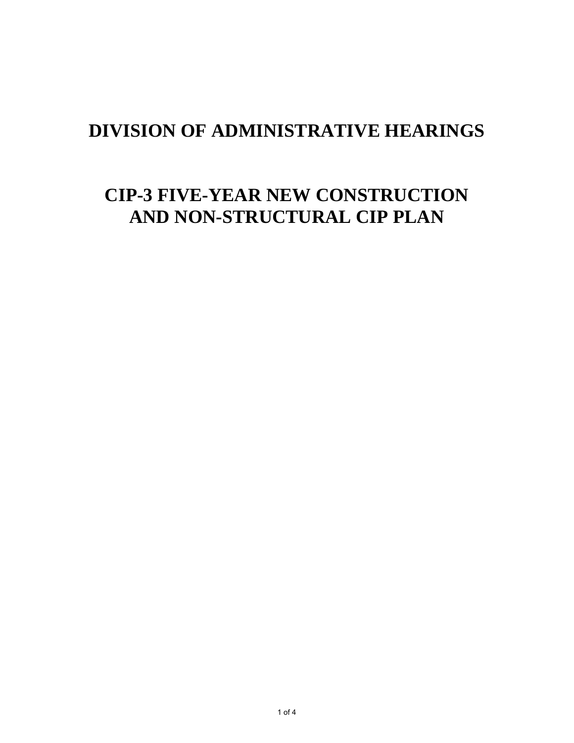### **DIVISION OF ADMINISTRATIVE HEARINGS**

# **CIP-3 FIVE-YEAR NEW CONSTRUCTION AND NON-STRUCTURAL CIP PLAN**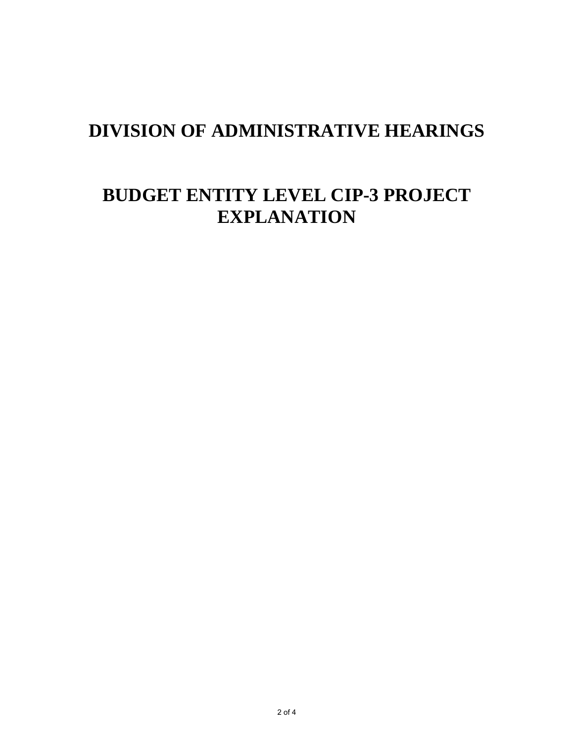### **DIVISION OF ADMINISTRATIVE HEARINGS**

# **BUDGET ENTITY LEVEL CIP-3 PROJECT EXPLANATION**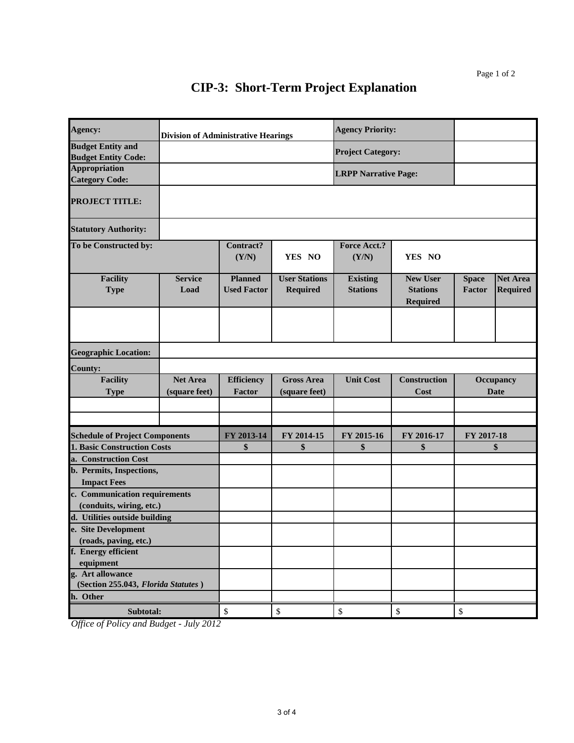#### **CIP-3: Short-Term Project Explanation**

| Agency:                                                            | <b>Division of Administrative Hearings</b> |                                      |                                         | <b>Agency Priority:</b>            |                                                       |                                 |                                    |
|--------------------------------------------------------------------|--------------------------------------------|--------------------------------------|-----------------------------------------|------------------------------------|-------------------------------------------------------|---------------------------------|------------------------------------|
| <b>Budget Entity and</b><br><b>Budget Entity Code:</b>             |                                            |                                      |                                         | <b>Project Category:</b>           |                                                       |                                 |                                    |
| <b>Appropriation</b><br><b>Category Code:</b>                      |                                            |                                      |                                         | <b>LRPP Narrative Page:</b>        |                                                       |                                 |                                    |
| <b>PROJECT TITLE:</b>                                              |                                            |                                      |                                         |                                    |                                                       |                                 |                                    |
| <b>Statutory Authority:</b>                                        |                                            |                                      |                                         |                                    |                                                       |                                 |                                    |
| To be Constructed by:                                              |                                            | <b>Contract?</b><br>(Y/N)            | YES NO                                  | <b>Force Acct.?</b><br>(Y/N)       | YES NO                                                |                                 |                                    |
| <b>Facility</b><br><b>Type</b>                                     | <b>Service</b><br>Load                     | <b>Planned</b><br><b>Used Factor</b> | <b>User Stations</b><br><b>Required</b> | <b>Existing</b><br><b>Stations</b> | <b>New User</b><br><b>Stations</b><br><b>Required</b> | <b>Space</b><br>Factor          | <b>Net Area</b><br><b>Required</b> |
|                                                                    |                                            |                                      |                                         |                                    |                                                       |                                 |                                    |
| <b>Geographic Location:</b>                                        |                                            |                                      |                                         |                                    |                                                       |                                 |                                    |
| <b>County:</b>                                                     |                                            |                                      |                                         |                                    |                                                       |                                 |                                    |
| <b>Facility</b><br><b>Net Area</b><br>(square feet)<br><b>Type</b> |                                            | <b>Efficiency</b><br>Factor          | <b>Gross Area</b><br>(square feet)      | <b>Unit Cost</b>                   | <b>Construction</b><br>Cost                           | <b>Occupancy</b><br><b>Date</b> |                                    |
|                                                                    |                                            |                                      |                                         |                                    |                                                       |                                 |                                    |
|                                                                    |                                            |                                      |                                         |                                    |                                                       |                                 |                                    |
| <b>Schedule of Project Components</b>                              |                                            | FY 2013-14                           | FY 2014-15                              | FY 2015-16                         | FY 2016-17                                            | FY 2017-18                      |                                    |
| <b>1. Basic Construction Costs</b>                                 |                                            | \$                                   | \$                                      | \$                                 | \$                                                    | \$                              |                                    |
| a. Construction Cost                                               |                                            |                                      |                                         |                                    |                                                       |                                 |                                    |
| b. Permits, Inspections,                                           |                                            |                                      |                                         |                                    |                                                       |                                 |                                    |
| <b>Impact Fees</b>                                                 |                                            |                                      |                                         |                                    |                                                       |                                 |                                    |
| c. Communication requirements                                      |                                            |                                      |                                         |                                    |                                                       |                                 |                                    |
| (conduits, wiring, etc.)<br>d. Utilities outside building          |                                            |                                      |                                         |                                    |                                                       |                                 |                                    |
| e. Site Development                                                |                                            |                                      |                                         |                                    |                                                       |                                 |                                    |
| (roads, paving, etc.)                                              |                                            |                                      |                                         |                                    |                                                       |                                 |                                    |
| f. Energy efficient                                                |                                            |                                      |                                         |                                    |                                                       |                                 |                                    |
| equipment                                                          |                                            |                                      |                                         |                                    |                                                       |                                 |                                    |
| g. Art allowance                                                   |                                            |                                      |                                         |                                    |                                                       |                                 |                                    |
| (Section 255.043, Florida Statutes)                                |                                            |                                      |                                         |                                    |                                                       |                                 |                                    |
| h. Other                                                           |                                            |                                      |                                         |                                    |                                                       |                                 |                                    |
| Subtotal:                                                          |                                            | \$                                   | \$                                      | \$                                 | $\mathbb{S}$                                          | $\mathbb{S}$                    |                                    |

*Office of Policy and Budget - July 2012*